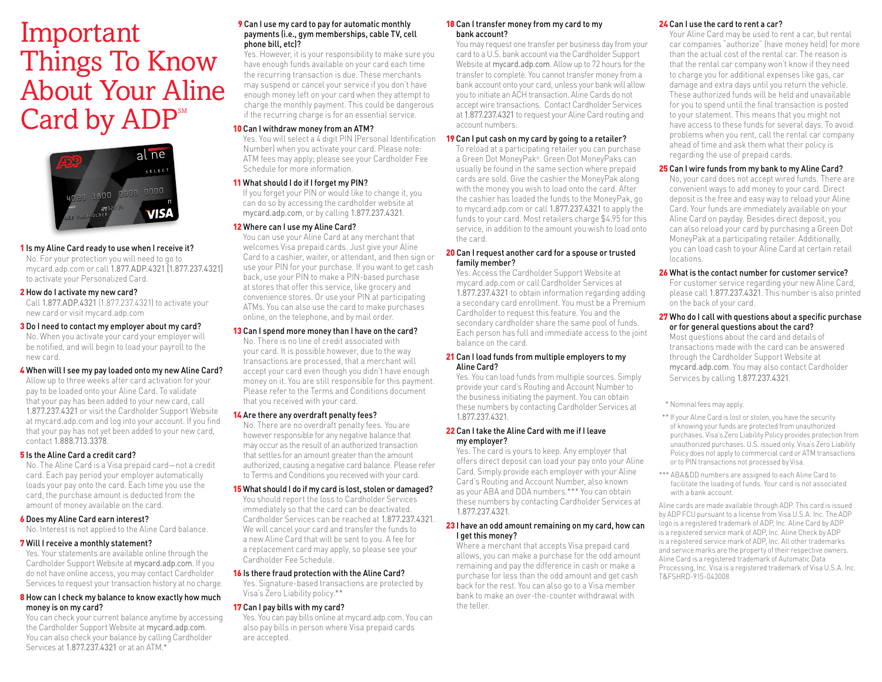# Things To Know About Your Aline Card by ADP<sup>SM</sup> Important



# 1 Is my Aline Card ready to use when I receive it?

 No. For your protection you will need to go to mycard.adp.com or call 1.877.ADP.4321 [1.877.237.4321] to activate your Personalized Card.

#### 2 How do I activate my new card?

 all 1.877.ADP.4321 (1.877.237.4321) to activate your new card or visit mycard.adp.com

# **3** Do I need to contact my employer about my card?

 No. When you activate your card your employer will be notifed, and will begin to load your payroll to the new card.

# 4 When will I see my pay loaded onto my new Aline Card?

 Allow up to three weeks after card activation for your pay to be loaded onto your Aline Card. To validate that your pay has been added to your new card, call 1.877.237.4321 or visit the Cardholder Support Website at mycard.adp.com and log into your account. If you fnd that your pay has not yet been added to your new card, contact 1.888.713.3378.

# 5 Is the Aline Card a credit card?

No. The Aline Card is a Visa prepaid card—not a credit card. Each pay period your employer automatically loads your pay onto the card. Each time you use the card, the purchase amount is deducted from the amount of money available on the card.

# 6 Does my Aline Card earn interest?

No. Interest is not applied to the Aline Card balance.

#### 7 Will I receive a monthly statement?

 Yes. Your statements are available online through the Cardholder Support Website at mycard.adp.com. If you do not have online access, you may contact Cardholder Services to request your transaction history at no charge.

# 8 How can I check my balance to know exactly how much money is on my card?

 You can check your current balance anytime by accessing the Cardholder Support Website at mycard.adp.com. You can also check your balance by calling Cardholder Services at 1.877.237.4321 or at an ATM.\*

# payments (i.e., gym memberships, cable TV, cell phone bill, etc)? **9** Can I use my card to pay for automatic monthly

 Yes. However, it is your responsibility to make sure you have enough funds available on your card each time the recurring transaction is due. These merchants may suspend or cancel your service if you don't have enough money left on your card when they attempt to charge the monthly payment. This could be dangerous if the recurring charge is for an essential service.

# 10 Can I withdraw money from an ATM?

 Yes. You will select a 4 digit PIN (Personal Identifcation Number) when you activate your card. Please note: ATM fees may apply; please see your Cardholder Fee Schedule for more information.

# 11 What should I do if I forget my PIN?

 If you forget your PIN or would like to change it, you can do so by accessing the cardholder website at mycard.adp.com, or by calling 1.877.237.4321.

# 12 Where can I use my Aline Card?

You can use your Aline Card at any merchant that welcomes Visa prepaid cards. Just give your Aline Card to a cashier, waiter, or attendant, and then sign or use your PIN for your purchase. If you want to get cash back, use your PIN to make a PIN-based purchase at stores that offer this service, like grocery and convenience stores. Or use your PIN at participating ATMs. You can also use the card to make purchases online, on the telephone, and by mail order.

# 13 Can I spend more money than I have on the card?

 No. There is no line of credit associated with your card. It is possible however, due to the way transactions are processed, that a merchant will accept your card even though you didn't have enough money on it. You are still responsible for this payment. Please refer to the Terms and Conditions document that you received with your card.

#### 14 Are there any overdraft penalty fees?

 No. There are no overdraft penalty fees. You are however responsible for any negative balance that may occur as the result of an authorized transaction that settles for an amount greater than the amount authorized, causing a negative card balance. Please refer to Terms and Conditions you received with your card.

#### 15 What should I do if my card is lost, stolen or damaged?

You should report the loss to Cardholder Services immediately so that the card can be deactivated. ardholder Services can be reached at 1.877.237.4321. We will cancel your card and transfer the funds to a new Aline Card that will be sent to you. A fee for a replacement card may apply, so please see your ardholder Fee Schedule.

#### 16 Is there fraud protection with the Aline Card?

 Yes. Signature-based transactions are protected by Visa's Zero Liability policy.\*\*

#### 17 Can I pay bills with my card?

 Yes. You can pay bills online at mycard.adp.com. You can also pay bills in person where Visa prepaid cards are accepted.

#### 18 Can I transfer money from my card to my bank account?

 You may request one transfer per business day from your card to a U.S. bank account via the Cardholder Support Website at mycard.adp.com. Allow up to 72 hours for the transfer to complete. You cannot transfer money from a bank account onto your card, unless your bank will allow you to initiate an ACH transaction. Aline Cards do not accept wire transactions. Contact Cardholder Services at 1.877.237.4321 to request your Aline Card routing and account numbers.

# 19 Can I put cash on my card by going to a retailer?

 To reload at a participating retailer you can purchase a Green Dot MoneyPak®. Green Dot MoneyPaks can usually be found in the same section where prepaid cards are sold. Give the cashier the MoneyPak along with the money you wish to load onto the card. After the cashier has loaded the funds to the MoneyPak, go to mycard.adp.com or call 1.877.237.4321 to apply the funds to your card. Most retailers charge \$4.95 for this service, in addition to the amount you wish to load onto the card.

#### 20 Can I request another card for a spouse or trusted family member?

Yes. Access the Cardholder Support Website at mycard.adp.com or call Cardholder Services at 1.877.237.4321 to obtain information regarding adding a secondary card enrollment. You must be a Premium ardholder to request this feature. You and the secondary cardholder share the same pool of funds. Each person has full and immediate access to the joint balance on the card.

#### 21 Can I load funds from multiple employers to my Aline Card?

 Yes. You can load funds from multiple sources. Simply provide your card's Routing and Account Number to the business initiating the payment. You can obtain these numbers by contacting Cardholder Services at 1.877.237.4321.

# 22 Can I take the Aline Card with me if I leave my employer?

 Yes. The card is yours to keep. Any employer that offers direct deposit can load your pay onto your Aline Card. Simply provide each employer with your Aline Card's Routing and Account Number, also known as your ABA and DDA numbers.\*\*\* You can obtain these numbers by contacting Cardholder Services at 1.877.237.4321.

#### 23 I have an odd amount remaining on my card, how can I get this money?

 Where a merchant that accepts Visa prepaid card allows, you can make a purchase for the odd amount remaining and pay the difference in cash or make a purchase for less than the odd amount and get cash back for the rest. You can also go to a Visa member bank to make an over-the-counter withdrawal with the teller.

# 24 Can I use the card to rent a car?

Your Aline Card may be used to rent a car, but rental car companies "authorize" (have money held) for more than the actual cost of the rental car. The reason is that the rental car company won't know if they need to charge you for additional expenses like gas, car damage and extra days until you return the vehicle. These authorized funds will be held and unavailable for you to spend until the fnal transaction is posted to your statement. This means that you might not have access to these funds for several days. To avoid problems when you rent, call the rental car company ahead of time and ask them what their policy is regarding the use of prepaid cards.

# 25 Can I wire funds from my bank to my Aline Card?

 No, your card does not accept wired funds. There are convenient ways to add money to your card. Direct deposit is the free and easy way to reload your Aline Card. Your funds are immediately available on your Aline Card on payday. Besides direct deposit, you can also reload your card by purchasing a Green Dot MoneyPak at a participating retailer. Additionally, you can load cash to your Aline Card at certain retail locations.

# 26 What is the contact number for customer service?

For customer service regarding your new Aline Card, please call 1.877.237.4321. This number is also printed on the back of your card.

# 27 Who do I call with questions about a specific purchase or for general questions about the card?

 Most questions about the card and details of transactions made with the card can be answered through the Cardholder Support Website at mycard.adp.com. You may also contact Cardholder Services by calling 1.877.237.4321.

#### \* Nominal fees may apply.

- of knowing your funds are protected from unauthorized purchases. Visa's Zero Liability Policy provides protection from unauthorized purchases. U.S. issued only. Visa's Zero Liability Policy does not apply to commercial card or ATM transactions or to PIN transactions not processed by Visa. \*\* If your Aline Card is lost or stolen, you have the security
- \*\*\* ABA&DD numbers are assigned to each Aline Card to facilitate the loading of funds. Your card is not associated with a bank account.

 Aline cards are made available through ADP. This card is issued by ADP FCU pursuant to a license from Visa U.S.A. Inc. The ADP logo is a registered trademark of ADP, Inc. Aline Card by ADP is a registered service mark of ADP, Inc. Aline Check by ADP is a registered service mark of ADP, Inc. All other trademarks and service marks are the property of their respective owners. Aline Card is a registered trademark of Automatic Data Processing, Inc. Visa is a registered trademark of Visa U.S.A. Inc. T&FSHRD-915-043008